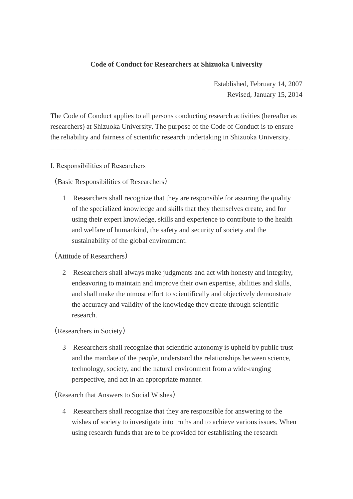# **Code of Conduct for Researchers at Shizuoka University**

Established, February 14, 2007 Revised, January 15, 2014

The Code of Conduct applies to all persons conducting research activities (hereafter as researchers) at Shizuoka University. The purpose of the Code of Conduct is to ensure the reliability and fairness of scientific research undertaking in Shizuoka University.

#### Ⅰ. Responsibilities of Researchers

(Basic Responsibilities of Researchers)

1 Researchers shall recognize that they are responsible for assuring the quality of the specialized knowledge and skills that they themselves create, and for using their expert knowledge, skills and experience to contribute to the health and welfare of humankind, the safety and security of society and the sustainability of the global environment.

### (Attitude of Researchers)

2 Researchers shall always make judgments and act with honesty and integrity, endeavoring to maintain and improve their own expertise, abilities and skills, and shall make the utmost effort to scientifically and objectively demonstrate the accuracy and validity of the knowledge they create through scientific research.

(Researchers in Society)

3 Researchers shall recognize that scientific autonomy is upheld by public trust and the mandate of the people, understand the relationships between science, technology, society, and the natural environment from a wide-ranging perspective, and act in an appropriate manner.

(Research that Answers to Social Wishes)

4 Researchers shall recognize that they are responsible for answering to the wishes of society to investigate into truths and to achieve various issues. When using research funds that are to be provided for establishing the research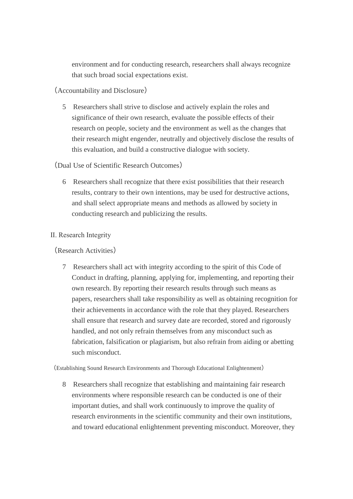environment and for conducting research, researchers shall always recognize that such broad social expectations exist.

(Accountability and Disclosure)

5 Researchers shall strive to disclose and actively explain the roles and significance of their own research, evaluate the possible effects of their research on people, society and the environment as well as the changes that their research might engender, neutrally and objectively disclose the results of this evaluation, and build a constructive dialogue with society.

(Dual Use of Scientific Research Outcomes)

6 Researchers shall recognize that there exist possibilities that their research results, contrary to their own intentions, may be used for destructive actions, and shall select appropriate means and methods as allowed by society in conducting research and publicizing the results.

# Ⅱ. Research Integrity

(Research Activities)

7 Researchers shall act with integrity according to the spirit of this Code of Conduct in drafting, planning, applying for, implementing, and reporting their own research. By reporting their research results through such means as papers, researchers shall take responsibility as well as obtaining recognition for their achievements in accordance with the role that they played. Researchers shall ensure that research and survey date are recorded, stored and rigorously handled, and not only refrain themselves from any misconduct such as fabrication, falsification or plagiarism, but also refrain from aiding or abetting such misconduct.

(Establishing Sound Research Environments and Thorough Educational Enlightenment)

8 Researchers shall recognize that establishing and maintaining fair research environments where responsible research can be conducted is one of their important duties, and shall work continuously to improve the quality of research environments in the scientific community and their own institutions, and toward educational enlightenment preventing misconduct. Moreover, they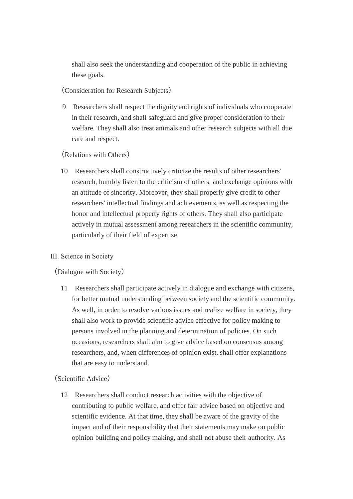shall also seek the understanding and cooperation of the public in achieving these goals.

(Consideration for Research Subjects)

9 Researchers shall respect the dignity and rights of individuals who cooperate in their research, and shall safeguard and give proper consideration to their welfare. They shall also treat animals and other research subjects with all due care and respect.

### (Relations with Others)

10 Researchers shall constructively criticize the results of other researchers' research, humbly listen to the criticism of others, and exchange opinions with an attitude of sincerity. Moreover, they shall properly give credit to other researchers' intellectual findings and achievements, as well as respecting the honor and intellectual property rights of others. They shall also participate actively in mutual assessment among researchers in the scientific community, particularly of their field of expertise.

### Ⅲ. Science in Society

(Dialogue with Society)

11 Researchers shall participate actively in dialogue and exchange with citizens, for better mutual understanding between society and the scientific community. As well, in order to resolve various issues and realize welfare in society, they shall also work to provide scientific advice effective for policy making to persons involved in the planning and determination of policies. On such occasions, researchers shall aim to give advice based on consensus among researchers, and, when differences of opinion exist, shall offer explanations that are easy to understand.

### (Scientific Advice)

12 Researchers shall conduct research activities with the objective of contributing to public welfare, and offer fair advice based on objective and scientific evidence. At that time, they shall be aware of the gravity of the impact and of their responsibility that their statements may make on public opinion building and policy making, and shall not abuse their authority. As